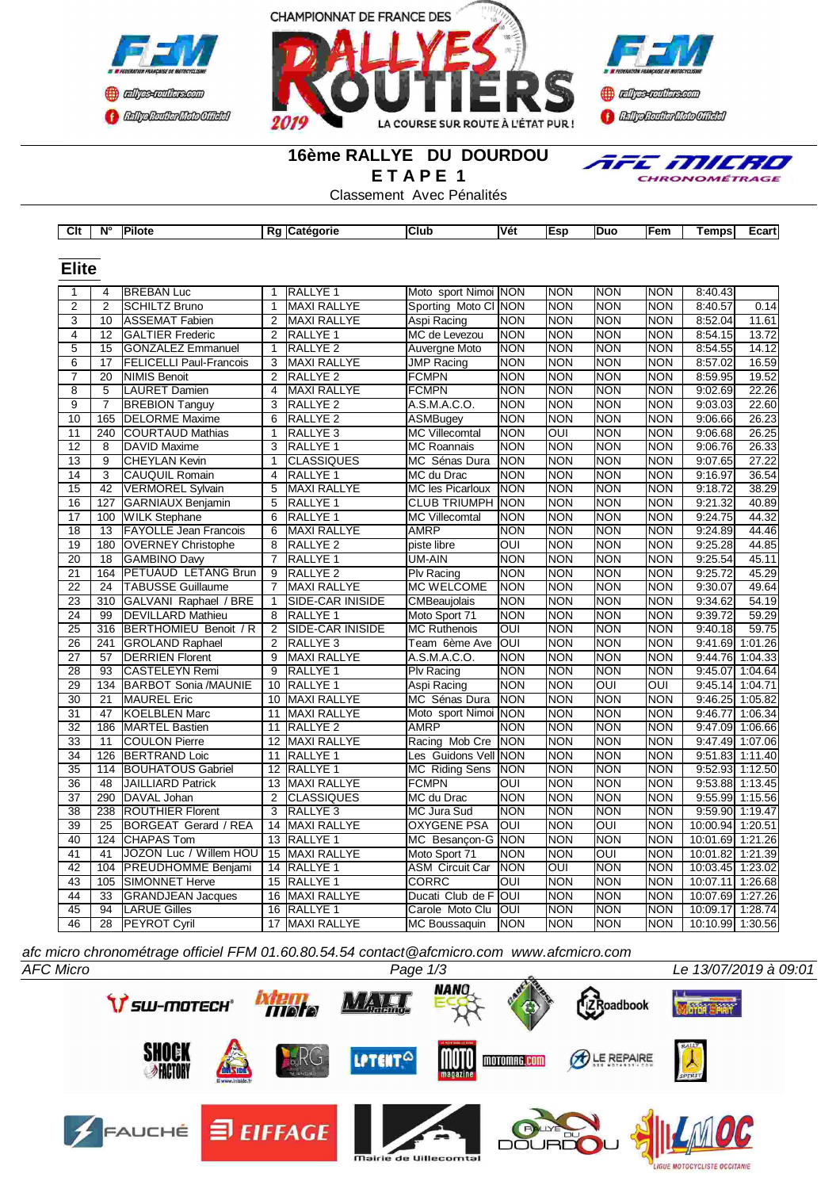



# **Confederation CENTRAL MEDICATE**

## **16ème RALLYE DU DOURDOU E T A P E 1**



Classement Avec Pénalités

| Clt             | $N^{\circ}$     | Pilote                         |                 | Rg Catégorie        | <b>Club</b>             | Vét                     | Esp            | Duo              | Fem              | Temps<br>Ecart     |
|-----------------|-----------------|--------------------------------|-----------------|---------------------|-------------------------|-------------------------|----------------|------------------|------------------|--------------------|
|                 |                 |                                |                 |                     |                         |                         |                |                  |                  |                    |
| <b>Elite</b>    |                 |                                |                 |                     |                         |                         |                |                  |                  |                    |
|                 |                 |                                |                 |                     |                         |                         |                |                  |                  |                    |
| 1               | 4               | <b>BREBAN Luc</b>              | 1               | RALLYE <sub>1</sub> | Moto sport Nimoi NON    |                         | <b>NON</b>     | <b>NON</b>       | <b>NON</b>       | 8:40.43            |
| $\overline{2}$  | $\overline{2}$  | <b>SCHILTZ Bruno</b>           | $\mathbf{1}$    | <b>MAXI RALLYE</b>  | Sporting Moto CI NON    |                         | NON            | <b>NON</b>       | <b>NON</b>       | 8:40.57<br>0.14    |
| $\overline{3}$  | 10              | <b>ASSEMAT Fabien</b>          | 2               | <b>MAXI RALLYE</b>  | Aspi Racing             | <b>NON</b>              | <b>NON</b>     | <b>NON</b>       | <b>NON</b>       | 8:52.04<br>11.61   |
| $\overline{4}$  | 12              | <b>GALTIER Frederic</b>        | $\overline{2}$  | RALLYE <sub>1</sub> | MC de Levezou           | NON                     | <b>NON</b>     | <b>NON</b>       | <b>NON</b>       | 13.72<br>8:54.15   |
| $\overline{5}$  | $\overline{15}$ | <b>GONZALEZ Emmanuel</b>       | $\mathbf{1}$    | RALLYE <sub>2</sub> | <b>Auvergne Moto</b>    | <b>NON</b>              | <b>NON</b>     | <b>NON</b>       | <b>NON</b>       | 8:54.55<br>14.12   |
| 6               | 17              | <b>FELICELLI Paul-Francois</b> | 3               | <b>MAXI RALLYE</b>  | <b>JMP Racing</b>       | <b>NON</b>              | <b>NON</b>     | <b>NON</b>       | <b>NON</b>       | 8:57.02<br>16.59   |
| $\overline{7}$  | $\overline{20}$ | <b>NIMIS Benoit</b>            | $\overline{2}$  | RALLYE <sub>2</sub> | <b>FCMPN</b>            | <b>NON</b>              | <b>NON</b>     | <b>NON</b>       | <b>NON</b>       | 8:59.95<br>19.52   |
| $\overline{8}$  | $\overline{5}$  | <b>LAURET Damien</b>           | $\overline{4}$  | <b>MAXI RALLYE</b>  | <b>FCMPN</b>            | <b>NON</b>              | <b>NON</b>     | <b>NON</b>       | <b>NON</b>       | 22.26<br>9:02.69   |
| $\overline{9}$  | $\overline{7}$  | <b>BREBION Tanguy</b>          | $\overline{3}$  | <b>RALLYE 2</b>     | A.S.M.A.C.O.            | <b>NON</b>              | <b>NON</b>     | <b>NON</b>       | <b>NON</b>       | 9:03.03<br>22.60   |
| 10              | 165             | <b>DELORME</b> Maxime          | $\overline{6}$  | RALLYE <sub>2</sub> | <b>ASMBugey</b>         | <b>NON</b>              | <b>NON</b>     | <b>NON</b>       | <b>NON</b>       | 26.23<br>9:06.66   |
| 11              | 240             | <b>COURTAUD Mathias</b>        | $\mathbf{1}$    | RALLYE <sub>3</sub> | <b>MC</b> Villecomtal   | <b>NON</b>              | OUI            | <b>NON</b>       | <b>NON</b>       | 9:06.68<br>26.25   |
| 12              | 8               | <b>DAVID Maxime</b>            | 3               | RALLYE 1            | <b>MC Roannais</b>      | <b>NON</b>              | <b>NON</b>     | <b>NON</b>       | <b>NON</b>       | 26.33<br>9:06.76   |
| 13              | 9               | <b>CHEYLAN Kevin</b>           | $\mathbf{1}$    | <b>CLASSIQUES</b>   | MC Sénas Dura           | <b>NON</b>              | <b>NON</b>     | <b>NON</b>       | <b>NON</b>       | 27.22<br>9:07.65   |
| 14              | 3               | <b>CAUQUIL Romain</b>          | $\overline{4}$  | RALLYE <sub>1</sub> | MC du Drac              | <b>NON</b>              | <b>NON</b>     | <b>NON</b>       | <b>NON</b>       | 9:16.97<br>36.54   |
| 15              | $\overline{42}$ | <b>VERMOREL Sylvain</b>        | 5               | <b>MAXI RALLYE</b>  | <b>MC les Picarloux</b> | <b>NON</b>              | <b>NON</b>     | <b>NON</b>       | <b>NON</b>       | 38.29<br>9:18.72   |
| 16              | 127             | <b>GARNIAUX Benjamin</b>       | 5               | RALLYE <sub>1</sub> | <b>CLUB TRIUMPH NON</b> |                         | <b>NON</b>     | <b>NON</b>       | <b>NON</b>       | 9:21.32<br>40.89   |
| $\overline{17}$ | 100             | <b>WILK Stephane</b>           | 6               | RALLYE <sub>1</sub> | <b>MC Villecomtal</b>   | <b>NON</b>              | <b>NON</b>     | <b>NON</b>       | <b>NON</b>       | 44.32<br>9:24.75   |
| 18              | 13              | <b>FAYOLLE Jean Francois</b>   | 6               | <b>MAXI RALLYE</b>  | <b>AMRP</b>             | <b>NON</b>              | <b>NON</b>     | <b>NON</b>       | <b>NON</b>       | 44.46<br>9:24.89   |
| $\overline{19}$ | 180             | <b>OVERNEY Christophe</b>      | $\overline{8}$  | RALLYE <sub>2</sub> | piste libre             | $\overline{\text{OUI}}$ | <b>NON</b>     | <b>NON</b>       | <b>NON</b>       | 44.85<br>9:25.28   |
| $\overline{20}$ | 18              | <b>GAMBINO Davy</b>            | $\overline{7}$  | RALLYE <sub>1</sub> | <b>UM-AIN</b>           | <b>NON</b>              | <b>NON</b>     | <b>NON</b>       | <b>NON</b>       | 45.11<br>9:25.54   |
| 21              | 164             | PETUAUD LETANG Brun            | 9               | RALLYE <sub>2</sub> | Plv Racing              | <b>NON</b>              | <b>NON</b>     | INON             | <b>NON</b>       | 9:25.72<br>45.29   |
| 22              | 24              | <b>TABUSSE Guillaume</b>       | $\overline{7}$  | <b>MAXI RALLYE</b>  | <b>MC WELCOME</b>       | <b>NON</b>              | <b>NON</b>     | Inon             | <b>NON</b>       | 9:30.07<br>49.64   |
| 23              | 310             | GALVANI Raphael / BRE          | 1               | SIDE-CAR INISIDE    | CMBeaujolais            | <b>NON</b>              | <b>NON</b>     | INON             | <b>NON</b>       | 54.19<br>9:34.62   |
| 24              | 99              | <b>DEVILLARD Mathieu</b>       | 8               | RALLYE 1            | Moto Sport 71           | <b>NON</b>              | <b>NON</b>     | Inon             | <b>NON</b>       | 9:39.72<br>59.29   |
| 25              | 316             | <b>BERTHOMIEU Benoit / R</b>   | $\overline{2}$  | SIDE-CAR INISIDE    | <b>MC Ruthenois</b>     | OUI                     | <b>NON</b>     | <b>NON</b>       | <b>NON</b>       | 59.75<br>9:40.18   |
| $\overline{26}$ | 241             | <b>GROLAND Raphael</b>         | 2               | RALLYE <sub>3</sub> | Team 6ème Ave           | loui                    | <b>NON</b>     | INON             | <b>NON</b>       | 9:41.69 1:01.26    |
| 27              | 57              | <b>DERRIEN Florent</b>         | 9               | <b>MAXI RALLYE</b>  | A.S.M.A.C.O.            | <b>NON</b>              | <b>NON</b>     | <b>NON</b>       | <b>NON</b>       | 9:44.76 1:04.33    |
| 28              | 93              | <b>CASTELEYN Remi</b>          | $\overline{9}$  | RALLYE <sub>1</sub> | Plv Racing              | <b>NON</b>              | <b>NON</b>     | <b>NON</b>       | <b>NON</b>       | 9:45.07<br>1:04.64 |
| $\overline{29}$ | 134             | <b>BARBOT Sonia /MAUNIE</b>    | 10              | <b>RALLYE 1</b>     | Aspi Racing             | <b>NON</b>              | <b>NON</b>     | OUI              | $\overline{OUI}$ | 9:45.14<br>1:04.71 |
| $\overline{30}$ | 21              | <b>MAUREL Eric</b>             | 10              | <b>MAXI RALLYE</b>  | MC Sénas Dura           | <b>NON</b>              | <b>NON</b>     | <b>NON</b>       | <b>NON</b>       | 9:46.25 1:05.82    |
| $\overline{31}$ | $\overline{47}$ | <b>KOELBLEN Marc</b>           | $\overline{11}$ | <b>MAXI RALLYE</b>  | Moto sport Nimoi NON    |                         | <b>NON</b>     | <b>NON</b>       | <b>NON</b>       | 9:46.77<br>1:06.34 |
| $\overline{32}$ | 186             | <b>MARTEL Bastien</b>          | 11              | RALLYE <sub>2</sub> | <b>AMRP</b>             | <b>NON</b>              | <b>NON</b>     | <b>NON</b>       | <b>NON</b>       | 9:47.09 1:06.66    |
| 33              | 11              | <b>COULON Pierre</b>           | 12              | <b>MAXI RALLYE</b>  | Racing Mob Cre          | <b>INON</b>             | <b>NON</b>     | INON             | <b>NON</b>       | 9:47.49 1:07.06    |
|                 |                 |                                |                 |                     |                         |                         |                |                  |                  |                    |
| 34              | 126<br>114      | <b>BERTRAND Loic</b>           | 11              | RALLYE 1            | Les Guidons Vell NON    |                         | <b>NON</b>     | <b>NON</b>       | <b>NON</b>       | $9:51.83$ 1:11.40  |
| $\overline{35}$ |                 | <b>BOUHATOUS Gabriel</b>       | 12              | RALLYE <sub>1</sub> | MC Riding Sens          | <b>NON</b>              | <b>NON</b>     | <b>NON</b>       | <b>NON</b>       | $9:52.93$ 1:12.50  |
| 36              | 48              | <b>JAILLIARD Patrick</b>       | 13              | <b>MAXI RALLYE</b>  | <b>FCMPN</b>            | OUI                     | <b>NON</b>     | <b>NON</b>       | <b>NON</b>       | 9:53.88 1:13.45    |
| $\overline{37}$ | 290             | DAVAL Johan                    | 2               | <b>CLASSIQUES</b>   | MC du Drac              | <b>NON</b>              | <b>NON</b>     | <b>NON</b>       | <b>NON</b>       | 9:55.99 1:15.56    |
| 38              | 238             | <b>ROUTHIER Florent</b>        | 3               | RALLYE <sub>3</sub> | MC Jura Sud             | <b>NON</b>              | <b>NON</b>     | INON             | <b>NON</b>       | 9:59.90 1:19.47    |
| $\overline{39}$ | $\overline{25}$ | <b>BORGEAT Gerard / REA</b>    | 14              | <b>MAXI RALLYE</b>  | <b>OXYGENE PSA</b>      | OUI                     | <b>NON</b>     | $\overline{OUI}$ | <b>NON</b>       | 10:00.94 1:20.51   |
| 40              | 124             | <b>CHAPAS Tom</b>              |                 | 13 RALLYE 1         | MC Besançon-G NON       |                         | <b>NON</b>     | <b>NON</b>       | <b>NON</b>       | 10:01.69 1:21.26   |
| 41              | 41              | JOZON Luc / Willem HOU         |                 | 15 MAXI RALLYE      | Moto Sport 71           | <b>NON</b>              | <b>NON</b>     | OUI              | <b>NON</b>       | 10:01.82 1:21.39   |
| 42              | 104             | PREUDHOMME Benjami             | 14              | <b>RALLYE 1</b>     | <b>ASM Circuit Car</b>  | <b>NON</b>              | $\overline{O}$ | <b>NON</b>       | <b>NON</b>       | 10:03.45 1:23.02   |
| 43              | 105             | <b>SIMONNET Herve</b>          | 15              | RALLYE <sub>1</sub> | CORRC                   | OUI                     | <b>NON</b>     | INON             | <b>NON</b>       | 10:07.11 1:26.68   |
| 44              | 33              | <b>GRANDJEAN Jacques</b>       | 16              | <b>MAXI RALLYE</b>  | Ducati Club de F        | loui                    | <b>NON</b>     | <b>NON</b>       | <b>NON</b>       | 10:07.69 1:27.26   |
| 45              | 94              | <b>LARUE Gilles</b>            | 16              | RALLYE <sub>1</sub> | Carole Moto Clu         | loui                    | <b>NON</b>     | INON             | <b>NON</b>       | 10:09.17 1:28.74   |
| 46              | 28              | <b>PEYROT Cyril</b>            |                 | 17 MAXI RALLYE      | MC Boussaquin           | <b>NON</b>              | NON            | NON              | <b>NON</b>       | 10:10.99 1:30.56   |

*afc micro chronométrage officiel FFM 01.60.80.54.54 contact@afcmicro.com www.afcmicro.com*

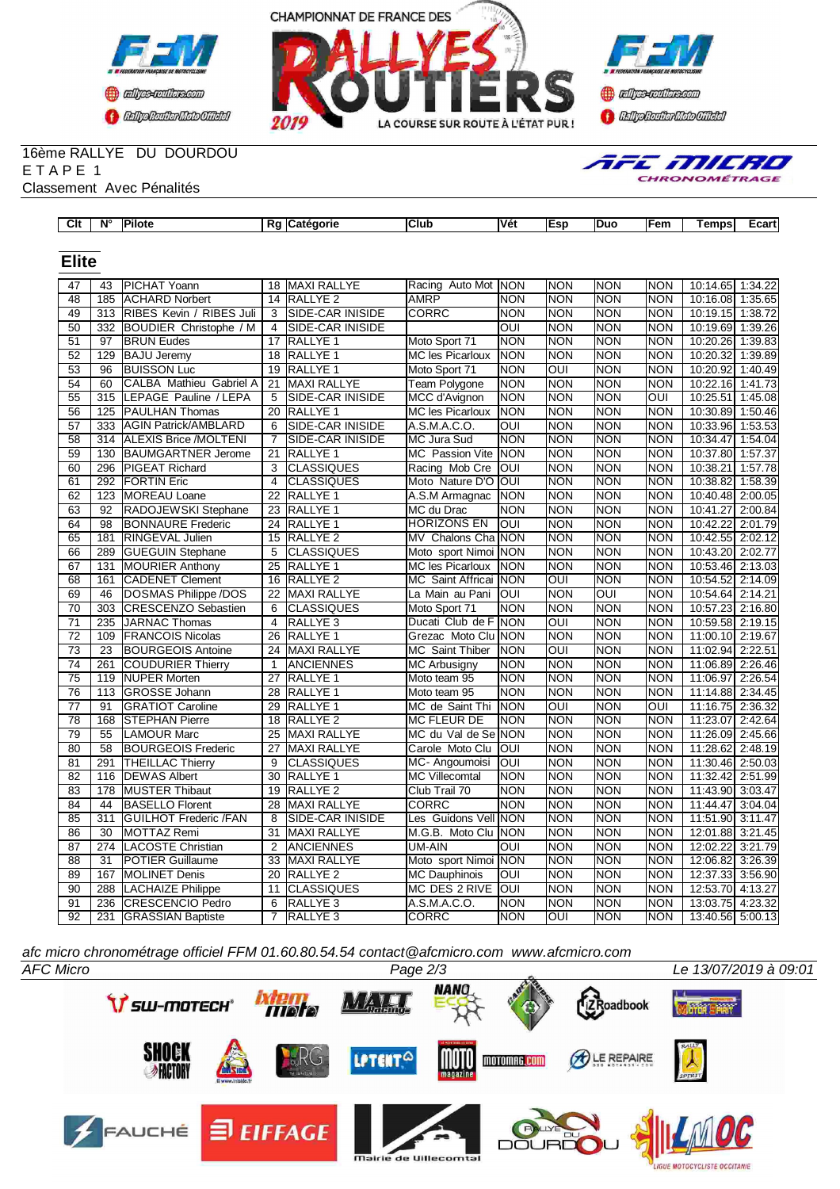



#### 16ème RALLYE DU DOURDOU E T A P E 1 Classement Avec Pénalités

| AFE MILRO            |
|----------------------|
| <b>CHRONOMÉTRAGE</b> |

| Clt             | N°               | Pilote                       |                 | Rg Catégorie        | Club                     | Vét                     | Esp              | Duo        | Fem        | Temps            | Ecart   |
|-----------------|------------------|------------------------------|-----------------|---------------------|--------------------------|-------------------------|------------------|------------|------------|------------------|---------|
|                 |                  |                              |                 |                     |                          |                         |                  |            |            |                  |         |
| <b>Elite</b>    |                  |                              |                 |                     |                          |                         |                  |            |            |                  |         |
| 47              | 43               | PICHAT Yoann                 | 18              | <b>MAXI RALLYE</b>  | Racing Auto Mot          | INON                    | <b>NON</b>       | <b>NON</b> | <b>NON</b> | 10:14.65         | 1:34.22 |
| 48              | 185              | <b>ACHARD Norbert</b>        | 14              | <b>RALLYE 2</b>     | <b>AMRP</b>              | <b>NON</b>              | <b>NON</b>       | <b>NON</b> | <b>NON</b> | 10:16.08         | 1:35.65 |
| 49              | 313              | RIBES Kevin / RIBES Juli     | 3               | SIDE-CAR INISIDE    | <b>CORRC</b>             | <b>NON</b>              | <b>NON</b>       | <b>NON</b> | <b>NON</b> | 10:19.15         | 1:38.72 |
| $\overline{50}$ | 332              | BOUDIER Christophe / M       | 4               | SIDE-CAR INISIDE    |                          | $\overline{\text{out}}$ | <b>NON</b>       | <b>NON</b> | <b>NON</b> | 10:19.69         | 1:39.26 |
| 51              | 97               | <b>BRUN Eudes</b>            | 17              | RALLYE <sub>1</sub> | Moto Sport 71            | <b>NON</b>              | <b>NON</b>       | <b>NON</b> | <b>NON</b> | 10:20.26         | 1:39.83 |
| 52              | 129              | <b>BAJU Jeremy</b>           | 18              | RALLYE <sub>1</sub> | <b>MC les Picarloux</b>  | <b>NON</b>              | <b>NON</b>       | <b>NON</b> | <b>NON</b> | 10:20.32         | 1:39.89 |
| $\overline{53}$ | 96               | <b>BUISSON Luc</b>           | 19              | RALLYE <sub>1</sub> | Moto Sport 71            | <b>NON</b>              | OUI              | <b>NON</b> | <b>NON</b> | 10:20.92         | 1:40.49 |
| 54              | 60               | CALBA Mathieu Gabriel A      | 21              | <b>MAXI RALLYE</b>  | Team Polygone            | <b>NON</b>              | <b>NON</b>       | <b>NON</b> | <b>NON</b> | 10:22.16         | 1:41.73 |
| 55              | 315              | LEPAGE Pauline / LEPA        | 5               | SIDE-CAR INISIDE    | MCC d'Avignon            | <b>NON</b>              | <b>NON</b>       | <b>NON</b> | OUI        | 10:25.51         | 1:45.08 |
| 56              | 125              | <b>PAULHAN Thomas</b>        | 20              | RALLYE <sub>1</sub> | MC les Picarloux         | <b>NON</b>              | <b>NON</b>       | <b>NON</b> | <b>NON</b> | 10:30.89         | 1:50.46 |
| 57              | 333              | <b>AGIN Patrick/AMBLARD</b>  | 6               | SIDE-CAR INISIDE    | A.S.M.A.C.O.             | OUI                     | <b>NON</b>       | <b>NON</b> | <b>NON</b> | 10:33.96         | 1:53.53 |
| 58              | 314              | <b>ALEXIS Brice /MOLTENI</b> | 7               | SIDE-CAR INISIDE    | MC Jura Sud              | <b>NON</b>              | <b>NON</b>       | <b>NON</b> | <b>NON</b> | 10:34.47         | 1:54.04 |
| 59              | 130              | <b>BAUMGARTNER Jerome</b>    | 21              | RALLYE <sub>1</sub> | MC Passion Vite NON      |                         | <b>NON</b>       | <b>NON</b> | <b>NON</b> | 10:37.80         | 1:57.37 |
| 60              | 296              | <b>PIGEAT Richard</b>        | 3               | <b>CLASSIQUES</b>   | Racing Mob Cre           | OUI                     | <b>NON</b>       | <b>NON</b> | <b>NON</b> | 10:38.21         | 1:57.78 |
| 61              | 292              | <b>FORTIN Eric</b>           | $\overline{4}$  | <b>CLASSIQUES</b>   | Moto Nature D'O          | <b>OUI</b>              | <b>NON</b>       | <b>NON</b> | <b>NON</b> | 10:38.82         | 1:58.39 |
| 62              | 123              | <b>MOREAU Loane</b>          | 22              | RALLYE <sub>1</sub> | A.S.M Armagnac           | <b>NON</b>              | <b>NON</b>       | <b>NON</b> | <b>NON</b> | 10:40.48         | 2:00.05 |
| $\overline{63}$ | $\overline{92}$  | RADOJEWSKI Stephane          | 23              | RALLYE <sub>1</sub> | MC du Drac               | <b>NON</b>              | <b>NON</b>       | <b>NON</b> | <b>NON</b> | 10:41.27         | 2:00.84 |
| 64              | 98               | <b>BONNAURE Frederic</b>     | 24              | RALLYE <sub>1</sub> | <b>HORIZONS EN</b>       | OUI                     | <b>NON</b>       | <b>NON</b> | <b>NON</b> | 10:42.22         | 2:01.79 |
| 65              | 181              | <b>RINGEVAL Julien</b>       | 15              | RALLYE <sub>2</sub> | Chalons Cha NON<br>IMV.  |                         | <b>NON</b>       | <b>NON</b> | <b>NON</b> | 10:42.55         | 2:02.12 |
| 66              | 289              | <b>GUEGUIN Stephane</b>      | 5               | <b>CLASSIQUES</b>   | Moto sport Nimoi NON     |                         | <b>NON</b>       | <b>NON</b> | <b>NON</b> | 10:43.20         | 2:02.77 |
| 67              | 131              | <b>MOURIER Anthony</b>       | 25              | RALLYE <sub>1</sub> | <b>MC les Picarloux</b>  | <b>NON</b>              | <b>NON</b>       | <b>NON</b> | <b>NON</b> | 10:53.46         | 2:13.03 |
| 68              | 161              | <b>CADENET Clement</b>       | 16              | RALLYE <sub>2</sub> | <b>MC</b> Saint Affricai | <b>NON</b>              | OUI              | <b>NON</b> | <b>NON</b> | 10:54.52         | 2:14.09 |
| 69              | 46               | DOSMAS Philippe /DOS         | 22              | <b>MAXI RALLYE</b>  | La Main au Pani          | OUI                     | <b>NON</b>       | OUI        | <b>NON</b> | 10:54.64         | 2:14.21 |
| $\overline{70}$ | 303              | <b>CRESCENZO Sebastien</b>   | 6               | <b>CLASSIQUES</b>   | Moto Sport 71            | <b>NON</b>              | <b>NON</b>       | <b>NON</b> | <b>NON</b> | 10:57.23         | 2:16.80 |
| $\overline{71}$ | 235              | <b>JARNAC Thomas</b>         | 4               | RALLYE <sub>3</sub> | Ducati Club de F         | Inon                    | OUI              | <b>NON</b> | <b>NON</b> | 10:59.58         | 2:19.15 |
| 72              | 109              | <b>FRANCOIS Nicolas</b>      | 26              | RALLYE <sub>1</sub> | Grezac Moto Clu NON      |                         | <b>NON</b>       | <b>NON</b> | <b>NON</b> | 11:00.10         | 2:19.67 |
| $\overline{73}$ | $\overline{23}$  | <b>BOURGEOIS Antoine</b>     | $\overline{24}$ | <b>MAXI RALLYE</b>  | MC Saint Thiber          | <b>NON</b>              | $\overline{OUI}$ | <b>NON</b> | <b>NON</b> | 11:02.94         | 2:22.51 |
| 74              | 261              | <b>COUDURIER Thierry</b>     | 1               | <b>ANCIENNES</b>    | <b>MC Arbusigny</b>      | <b>NON</b>              | <b>NON</b>       | <b>NON</b> | <b>NON</b> | 11:06.89         | 2:26.46 |
| 75              | 119              | <b>NUPER Morten</b>          | 27              | RALLYE <sub>1</sub> | Moto team 95             | <b>NON</b>              | <b>NON</b>       | <b>NON</b> | <b>NON</b> | 11:06.97         | 2:26.54 |
| 76              | 113              | <b>GROSSE Johann</b>         | 28              | RALLYE 1            | Moto team 95             | <b>NON</b>              | <b>NON</b>       | <b>NON</b> | <b>NON</b> | 11:14.88         | 2:34.45 |
| $\overline{77}$ | 91               | <b>GRATIOT Caroline</b>      | 29              | RALLYE <sub>1</sub> | MC de Saint Thi          | <b>NON</b>              | OUI              | <b>NON</b> | OUI        | 11:16.75         | 2:36.32 |
| 78              | 168              | <b>STEPHAN Pierre</b>        | 18              | RALLYE <sub>2</sub> | <b>MC FLEUR DE</b>       | <b>NON</b>              | <b>NON</b>       | <b>NON</b> | <b>NON</b> | 11:23.07         | 2:42.64 |
| 79              | 55               | <b>LAMOUR Marc</b>           | 25              | <b>MAXI RALLYE</b>  | MC du Val de Se NON      |                         | <b>NON</b>       | <b>NON</b> | <b>NON</b> | 11:26.09         | 2:45.66 |
| 80              | 58               | <b>BOURGEOIS Frederic</b>    | $\overline{27}$ | <b>MAXI RALLYE</b>  | Carole Moto Clu          | OUI                     | <b>NON</b>       | <b>NON</b> | <b>NON</b> | 11:28.62         | 2:48.19 |
| 81              | 291              | <b>THEILLAC Thierry</b>      | 9               | <b>CLASSIQUES</b>   | MC-Angoumoisi            | OUI                     | <b>NON</b>       | <b>NON</b> | <b>NON</b> | 11:30.46         | 2:50.03 |
| 82              | 116              | <b>DEWAS Albert</b>          | 30              | RALLYE <sub>1</sub> | <b>MC Villecomtal</b>    | <b>NON</b>              | <b>NON</b>       | <b>NON</b> | <b>NON</b> | 11:32.42         | 2:51.99 |
| $\overline{83}$ | $\overline{178}$ | <b>MUSTER Thibaut</b>        | 19              | <b>RALLYE 2</b>     | Club Trail 70            | <b>NON</b>              | <b>NON</b>       | <b>NON</b> | <b>NON</b> | 11:43.90         | 3:03.47 |
| 84              | 44               | <b>BASELLO Florent</b>       | 28              | <b>MAXI RALLYE</b>  | CORRC                    | <b>NON</b>              | <b>NON</b>       | <b>NON</b> | <b>NON</b> | 11:44.47         | 3:04.04 |
| 85              | 311              | <b>GUILHOT Frederic /FAN</b> | 8               | SIDE-CAR INISIDE    | Les Guidons Vell         | <b>NON</b>              | <b>NON</b>       | <b>NON</b> | <b>NON</b> | 11:51.90         | 3:11.47 |
| 86              | 30               | <b>MOTTAZ Remi</b>           | 31              | <b>MAXI RALLYE</b>  | M.G.B. Moto Clu NON      |                         | <b>NON</b>       | <b>NON</b> | <b>NON</b> | 12:01.88         | 3:21.45 |
| 87              | 274              | <b>LACOSTE Christian</b>     | $\overline{2}$  | <b>ANCIENNES</b>    | <b>UM-AIN</b>            | OUI                     | <b>NON</b>       | <b>NON</b> | <b>NON</b> | 12:02.22         | 3:21.79 |
| 88              | 31               | <b>POTIER Guillaume</b>      | 33              | <b>MAXI RALLYE</b>  | Moto sport Nimoi         | <b>NON</b>              | <b>NON</b>       | <b>NON</b> | <b>NON</b> | 12:06.82         | 3:26.39 |
| 89              | 167              | <b>MOLINET Denis</b>         | $\overline{20}$ | <b>RALLYE 2</b>     | <b>MC Dauphinois</b>     | $\overline{\text{OUI}}$ | <b>NON</b>       | <b>NON</b> | <b>NON</b> | 12:37.33         | 3:56.90 |
| $\overline{90}$ | 288              | <b>LACHAIZE Philippe</b>     | 11              | <b>CLASSIQUES</b>   | <b>MC DES 2 RIVE</b>     | $\overline{\text{OUI}}$ | <b>NON</b>       | <b>NON</b> | <b>NON</b> | 12:53.70         | 4:13.27 |
| $\overline{91}$ | 236              | <b>CRESCENCIO Pedro</b>      | 6               | RALLYE <sub>3</sub> | A.S.M.A.C.O.             | <b>NON</b>              | <b>NON</b>       | <b>NON</b> | <b>NON</b> | 13:03.75         | 4:23.32 |
| 92              | 231              | <b>GRASSIAN Baptiste</b>     | 7               | RALLYE <sub>3</sub> | <b>CORRC</b>             | <b>NON</b>              | $\overline{O}$   | <b>NON</b> | <b>NON</b> | 13:40.56 5:00.13 |         |

*afc micro chronométrage officiel FFM 01.60.80.54.54 contact@afcmicro.com www.afcmicro.com*